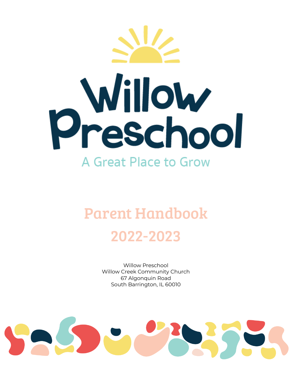

# Parent Handbook 2022-2023

Willow Preschool Willow Creek Community Church 67 Algonquin Road South Barrington, IL 60010

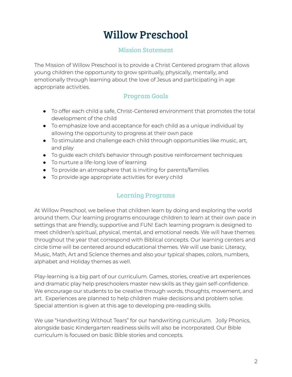# Willow Preschool

#### Mission Statement

The Mission of Willow Preschool is to provide a Christ Centered program that allows young children the opportunity to grow spiritually, physically, mentally, and emotionally through learning about the love of Jesus and participating in age appropriate activities.

# Program Goals

- To offer each child a safe, Christ-Centered environment that promotes the total development of the child
- To emphasize love and acceptance for each child as a unique individual by allowing the opportunity to progress at their own pace
- To stimulate and challenge each child through opportunities like music, art, and play
- To guide each child's behavior through positive reinforcement techniques
- To nurture a life-long love of learning
- To provide an atmosphere that is inviting for parents/families
- To provide age appropriate activities for every child

#### Learning Programs

At Willow Preschool, we believe that children learn by doing and exploring the world around them. Our learning programs encourage children to learn at their own pace in settings that are friendly, supportive and FUN! Each learning program is designed to meet children's spiritual, physical, mental, and emotional needs. We will have themes throughout the year that correspond with Biblical concepts. Our learning centers and circle time will be centered around educational themes. We will use basic Literacy, Music, Math, Art and Science themes and also your typical shapes, colors, numbers, alphabet and Holiday themes as well.

Play-learning is a big part of our curriculum. Games, stories, creative art experiences and dramatic play help preschoolers master new skills as they gain self-confidence. We encourage our students to be creative through words, thoughts, movement, and art. Experiences are planned to help children make decisions and problem solve. Special attention is given at this age to developing pre-reading skills.

We use "Handwriting Without Tears" for our handwriting curriculum. Jolly Phonics, alongside basic Kindergarten readiness skills will also be incorporated. Our Bible curriculum is focused on basic Bible stories and concepts.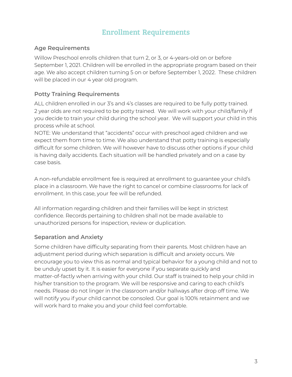# Enrollment Requirements

#### **Age Requirements**

Willow Preschool enrolls children that turn 2, or 3, or 4-years-old on or before September 1, 2021. Children will be enrolled in the appropriate program based on their age. We also accept children turning 5 on or before September 1, 2022. These children will be placed in our 4 year old program.

#### **Potty Training Requirements**

ALL children enrolled in our 3's and 4's classes are required to be fully potty trained. 2 year olds are not required to be potty trained. We will work with your child/family if you decide to train your child during the school year. We will support your child in this process while at school.

NOTE: We understand that "accidents" occur with preschool aged children and we expect them from time to time. We also understand that potty training is especially difficult for some children. We will however have to discuss other options if your child is having daily accidents. Each situation will be handled privately and on a case by case basis.

A non-refundable enrollment fee is required at enrollment to guarantee your child's place in a classroom. We have the right to cancel or combine classrooms for lack of enrollment. In this case, your fee will be refunded.

All information regarding children and their families will be kept in strictest confidence. Records pertaining to children shall not be made available to unauthorized persons for inspection, review or duplication.

#### **Separation and Anxiety**

Some children have difficulty separating from their parents. Most children have an adjustment period during which separation is difficult and anxiety occurs. We encourage you to view this as normal and typical behavior for a young child and not to be unduly upset by it. It is easier for everyone if you separate quickly and matter-of-factly when arriving with your child. Our staff is trained to help your child in his/her transition to the program. We will be responsive and caring to each child's needs. Please do not linger in the classroom and/or hallways after drop off time. We will notify you if your child cannot be consoled. Our goal is 100% retainment and we will work hard to make you and your child feel comfortable.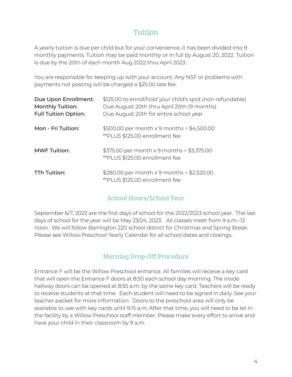# Tuition

A yearly tuition is due per child but for your convenience, it has been divided into 9 monthly payments. Tuition may be paid monthly or in full by August 20, 2022. Tuition is due by the 20th of each month Aug 2022 thru April 2023.

You are responsible for keeping up with your account. Any NSF or problems with payments not posting will be charged a \$25.00 late fee.

| Due Upon Enrollment:<br><b>Monthly Tuition:</b><br><b>Full Tuition Option:</b> | \$125.00 to enroll/hold your child's spot (non-refundable)<br>Due August 20th thru April 20th (9 months)<br>Due August 20th for entire school year |
|--------------------------------------------------------------------------------|----------------------------------------------------------------------------------------------------------------------------------------------------|
| Mon - Fri Tuition:                                                             | \$500.00 per month x 9 months = \$4,500.00<br>** PLUS \$125.00 enrollment fee                                                                      |
| <b>MWF Tuition:</b>                                                            | $$375.00$ per month x 9 months = \$3,375.00<br>** PLUS \$125.00 enrollment fee                                                                     |
| TTh Tuition:                                                                   | \$280.00 per month x 9 months = \$2,520.00<br>** PLUS \$125.00 enrollment fee                                                                      |

#### School Hours/School Year

September 6/7, 2022 are the first days of school for the 2022/2023 school year. The last days of school for the year will be May 23/24, 2023. All classes meet from 9 a.m.–12 noon. We will follow Barrington 220 school district for Christmas and Spring Break. Please see Willow Preschool Yearly Calendar for all school dates and closings.

#### Morning Drop-Off Procedure

Entrance F will be the Willow Preschool entrance. All families will receive a key card that will open the Entrance F doors at 8:50 each school day morning. The inside hallway doors can be opened at 8:55 a.m. by the same key card. Teachers will be ready to receive students at that time. Each student will need to be signed in daily. See your teacher packet for more information. Doors to the preschool area will only be available to use with key cards until 9:15 a.m. After that time, you will need to be let in the facility by a Willow Preschool staff member. Please make every effort to arrive and have your child in their classroom by 9 a.m.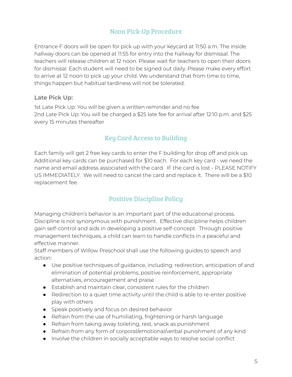#### Noon Pick-Up Procedure

Entrance F doors will be open for pick up with your keycard at 11:50 a.m. The inside hallway doors can be opened at 11:55 for entry into the hallway for dismissal. The teachers will release children at 12 noon. Please wait for teachers to open their doors for dismissal. Each student will need to be signed out daily. Please make every effort to arrive at 12 noon to pick up your child. We understand that from time to time, things happen but habitual tardiness will not be tolerated.

#### **Late Pick Up:**

1st Late Pick Up: You will be given a written reminder and no fee 2nd Late Pick Up: You will be charged a \$25 late fee for arrival after 12:10 p.m. and \$25 every 15 minutes thereafter

#### Key Card Access to Building

Each family will get 2 free key cards to enter the F building for drop off and pick up. Additional key cards can be purchased for \$10 each. For each key card - we need the name and email address associated with the card. IF the card is lost - PLEASE NOTIFY US IMMEDIATELY. We will need to cancel the card and replace it. There will be a \$10 replacement fee.

# Positive Discipline Policy

Managing children's behavior is an important part of the educational process. Discipline is not synonymous with punishment. Effective discipline helps children gain self-control and aids in developing a positive self-concept. Through positive management techniques, a child can learn to handle conflicts in a peaceful and effective manner.

Staff members of Willow Preschool shall use the following guides to speech and action:

- Use positive techniques of guidance, including: redirection, anticipation of and elimination of potential problems, positive reinforcement, appropriate alternatives, encouragement and praise
- Establish and maintain clear, consistent rules for the children
- Redirection to a quiet time activity until the child is able to re-enter positive play with others
- Speak positively and focus on desired behavior
- Refrain from the use of humiliating, frightening or harsh language
- Refrain from taking away toileting, rest, snack as punishment
- Refrain from any form of corporal/emotional/verbal punishment of any kind
- Involve the children in socially acceptable ways to resolve social conflict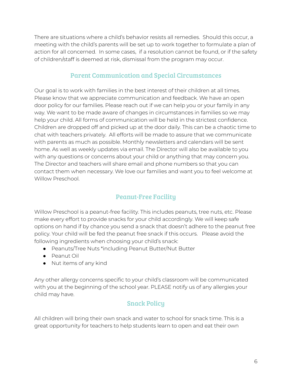There are situations where a child's behavior resists all remedies. Should this occur, a meeting with the child's parents will be set up to work together to formulate a plan of action for all concerned. In some cases, if a resolution cannot be found, or if the safety of children/staff is deemed at risk, dismissal from the program may occur.

#### Parent Communication and Special Circumstances

Our goal is to work with families in the best interest of their children at all times. Please know that we appreciate communication and feedback. We have an open door policy for our families. Please reach out if we can help you or your family in any way. We want to be made aware of changes in circumstances in families so we may help your child. All forms of communication will be held in the strictest confidence. Children are dropped off and picked up at the door daily. This can be a chaotic time to chat with teachers privately. All efforts will be made to assure that we communicate with parents as much as possible. Monthly newsletters and calendars will be sent home. As well as weekly updates via email. The Director will also be available to you with any questions or concerns about your child or anything that may concern you. The Director and teachers will share email and phone numbers so that you can contact them when necessary. We love our families and want you to feel welcome at Willow Preschool.

# Peanut-Free Facility

Willow Preschool is a peanut-free facility. This includes peanuts, tree nuts, etc. Please make every effort to provide snacks for your child accordingly. We will keep safe options on hand if by chance you send a snack that doesn't adhere to the peanut free policy. Your child will be fed the peanut free snack if this occurs. Please avoid the following ingredients when choosing your child's snack:

- Peanuts/Tree Nuts \*including Peanut Butter/Nut Butter
- Peanut Oil
- Nut items of any kind

Any other allergy concerns specific to your child's classroom will be communicated with you at the beginning of the school year. PLEASE notify us of any allergies your child may have.

#### Snack Policy

All children will bring their own snack and water to school for snack time. This is a great opportunity for teachers to help students learn to open and eat their own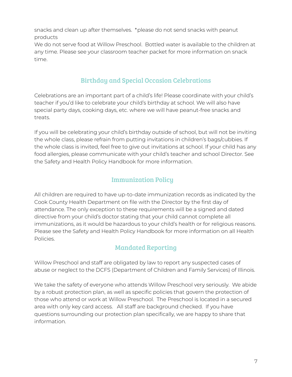snacks and clean up after themselves. \*please do not send snacks with peanut products

We do not serve food at Willow Preschool. Bottled water is available to the children at any time. Please see your classroom teacher packet for more information on snack time.

# Birthday and Special Occasion Celebrations

Celebrations are an important part of a child's life! Please coordinate with your child's teacher if you'd like to celebrate your child's birthday at school. We will also have special party days, cooking days, etc. where we will have peanut-free snacks and treats.

If you will be celebrating your child's birthday outside of school, but will not be inviting the whole class, please refrain from putting invitations in children's bags/cubbies. If the whole class is invited, feel free to give out invitations at school. If your child has any food allergies, please communicate with your child's teacher and school Director. See the Safety and Health Policy Handbook for more information.

#### Immunization Policy

All children are required to have up-to-date immunization records as indicated by the Cook County Health Department on file with the Director by the first day of attendance. The only exception to these requirements will be a signed and dated directive from your child's doctor stating that your child cannot complete all immunizations, as it would be hazardous to your child's health or for religious reasons. Please see the Safety and Health Policy Handbook for more information on all Health Policies.

# Mandated Reporting

Willow Preschool and staff are obligated by law to report any suspected cases of abuse or neglect to the DCFS (Department of Children and Family Services) of Illinois.

We take the safety of everyone who attends Willow Preschool very seriously. We abide by a robust protection plan, as well as specific policies that govern the protection of those who attend or work at Willow Preschool. The Preschool is located in a secured area with only key card access. All staff are background checked. If you have questions surrounding our protection plan specifically, we are happy to share that information.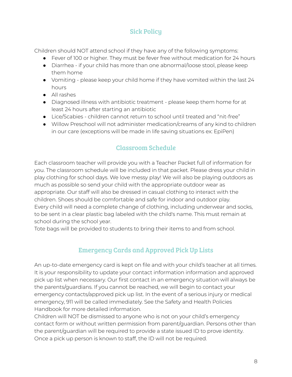# Sick Policy

Children should NOT attend school if they have any of the following symptoms:

- Fever of 100 or higher. They must be fever free without medication for 24 hours
- Diarrhea if your child has more than one abnormal/loose stool, please keep them home
- Vomiting please keep your child home if they have vomited within the last 24 hours
- All rashes
- Diagnosed illness with antibiotic treatment please keep them home for at least 24 hours after starting an antibiotic
- Lice/Scabies children cannot return to school until treated and "nit-free"
- Willow Preschool will not administer medication/creams of any kind to children in our care (exceptions will be made in life saving situations ex: EpiPen)

# Classroom Schedule

Each classroom teacher will provide you with a Teacher Packet full of information for you. The classroom schedule will be included in that packet. Please dress your child in play clothing for school days. We love messy play! We will also be playing outdoors as much as possible so send your child with the appropriate outdoor wear as appropriate. Our staff will also be dressed in casual clothing to interact with the children. Shoes should be comfortable and safe for indoor and outdoor play. Every child will need a complete change of clothing, including underwear and socks, to be sent in a clear plastic bag labeled with the child's name. This must remain at school during the school year.

Tote bags will be provided to students to bring their items to and from school.

# Emergency Cards and Approved Pick Up Lists

An up-to-date emergency card is kept on file and with your child's teacher at all times. It is your responsibility to update your contact information information and approved pick up list when necessary. Our first contact in an emergency situation will always be the parents/guardians. If you cannot be reached, we will begin to contact your emergency contacts/approved pick up list. In the event of a serious injury or medical emergency, 911 will be called immediately. See the Safety and Health Policies Handbook for more detailed information.

Children will NOT be dismissed to anyone who is not on your child's emergency contact form or without written permission from parent/guardian. Persons other than the parent/guardian will be required to provide a state issued ID to prove identity. Once a pick up person is known to staff, the ID will not be required.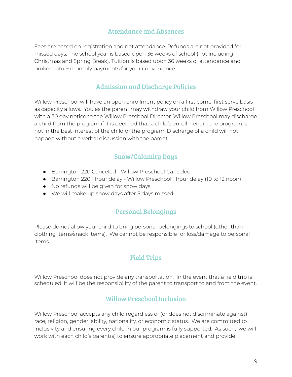#### Attendance and Absences

Fees are based on registration and not attendance. Refunds are not provided for missed days. The school year is based upon 36 weeks of school (not including Christmas and Spring Break). Tuition is based upon 36 weeks of attendance and broken into 9 monthly payments for your convenience.

#### Admission and Discharge Policies

Willow Preschool will have an open enrollment policy on a first come, first serve basis as capacity allows. You as the parent may withdraw your child from Willow Preschool with a 30 day notice to the Willow Preschool Director. Willow Preschool may discharge a child from the program if it is deemed that a child's enrollment in the program is not in the best interest of the child or the program. Discharge of a child will not happen without a verbal discussion with the parent.

#### Snow/Calamity Days

- Barrington 220 Canceled Willow Preschool Canceled
- Barrington 220 1 hour delay Willow Preschool 1 hour delay (10 to 12 noon)
- No refunds will be given for snow days
- We will make up snow days after 5 days missed

#### Personal Belongings

Please do not allow your child to bring personal belongings to school (other than clothing items/snack items). We cannot be responsible for loss/damage to personal items.

#### Field Trips

Willow Preschool does not provide any transportation. In the event that a field trip is scheduled, it will be the responsibility of the parent to transport to and from the event.

#### Willow Preschool Inclusion

Willow Preschool accepts any child regardless of (or does not discriminate against) race, religion, gender, ability, nationality, or economic status. We are committed to inclusivity and ensuring every child in our program is fully supported. As such, we will work with each child's parent(s) to ensure appropriate placement and provide